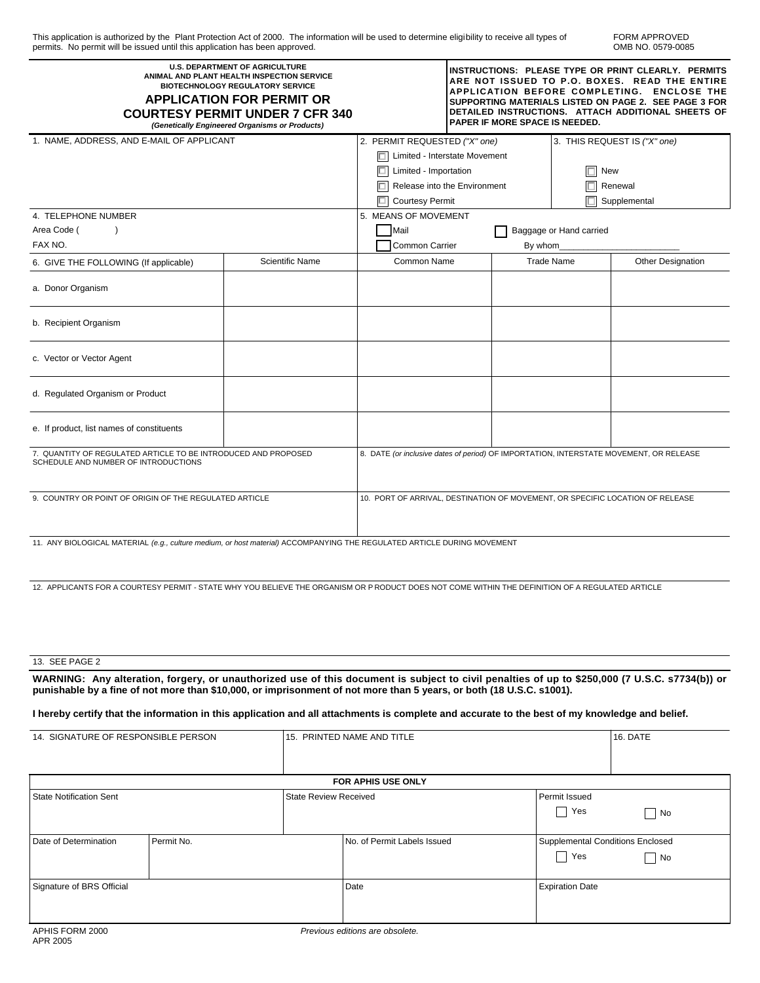FORM APPROVED OMB NO. 0579-0085

| <b>U.S. DEPARTMENT OF AGRICULTURE</b><br>ANIMAL AND PLANT HEALTH INSPECTION SERVICE<br><b>BIOTECHNOLOGY REGULATORY SERVICE</b><br><b>APPLICATION FOR PERMIT OR</b><br><b>COURTESY PERMIT UNDER 7 CFR 340</b><br>(Genetically Engineered Organisms or Products) | INSTRUCTIONS: PLEASE TYPE OR PRINT CLEARLY. PERMITS<br>ARE NOT ISSUED TO P.O. BOXES. READ THE ENTIRE<br>APPLICATION BEFORE COMPLETING. ENCLOSE THE<br>SUPPORTING MATERIALS LISTED ON PAGE 2. SEE PAGE 3 FOR<br>DETAILED INSTRUCTIONS. ATTACH ADDITIONAL SHEETS OF<br>PAPER IF MORE SPACE IS NEEDED. |                                                                                        |  |                              |  |                   |
|----------------------------------------------------------------------------------------------------------------------------------------------------------------------------------------------------------------------------------------------------------------|-----------------------------------------------------------------------------------------------------------------------------------------------------------------------------------------------------------------------------------------------------------------------------------------------------|----------------------------------------------------------------------------------------|--|------------------------------|--|-------------------|
| 1. NAME, ADDRESS, AND E-MAIL OF APPLICANT                                                                                                                                                                                                                      |                                                                                                                                                                                                                                                                                                     | 2. PERMIT REQUESTED ("X" one)                                                          |  | 3. THIS REQUEST IS ("X" one) |  |                   |
|                                                                                                                                                                                                                                                                |                                                                                                                                                                                                                                                                                                     | $\boxed{\square}$ Limited - Interstate Movement                                        |  |                              |  |                   |
|                                                                                                                                                                                                                                                                |                                                                                                                                                                                                                                                                                                     | $\Box$<br>Limited - Importation                                                        |  | <b>New</b>                   |  |                   |
|                                                                                                                                                                                                                                                                |                                                                                                                                                                                                                                                                                                     | <b>D</b><br>Release into the Environment                                               |  | Renewal                      |  |                   |
|                                                                                                                                                                                                                                                                |                                                                                                                                                                                                                                                                                                     | <b>Courtesy Permit</b><br>IП                                                           |  | Supplemental                 |  |                   |
| 4. TELEPHONE NUMBER                                                                                                                                                                                                                                            |                                                                                                                                                                                                                                                                                                     | 5. MEANS OF MOVEMENT                                                                   |  |                              |  |                   |
| Area Code (<br>$\lambda$                                                                                                                                                                                                                                       |                                                                                                                                                                                                                                                                                                     | Mail<br>Baggage or Hand carried                                                        |  |                              |  |                   |
| FAX NO.                                                                                                                                                                                                                                                        |                                                                                                                                                                                                                                                                                                     | Common Carrier                                                                         |  | By whom                      |  |                   |
| 6. GIVE THE FOLLOWING (If applicable)                                                                                                                                                                                                                          | <b>Scientific Name</b>                                                                                                                                                                                                                                                                              | Common Name                                                                            |  | <b>Trade Name</b>            |  | Other Designation |
| a. Donor Organism                                                                                                                                                                                                                                              |                                                                                                                                                                                                                                                                                                     |                                                                                        |  |                              |  |                   |
| b. Recipient Organism                                                                                                                                                                                                                                          |                                                                                                                                                                                                                                                                                                     |                                                                                        |  |                              |  |                   |
| c. Vector or Vector Agent                                                                                                                                                                                                                                      |                                                                                                                                                                                                                                                                                                     |                                                                                        |  |                              |  |                   |
| d. Regulated Organism or Product                                                                                                                                                                                                                               |                                                                                                                                                                                                                                                                                                     |                                                                                        |  |                              |  |                   |
| e. If product, list names of constituents                                                                                                                                                                                                                      |                                                                                                                                                                                                                                                                                                     |                                                                                        |  |                              |  |                   |
| 7. QUANTITY OF REGULATED ARTICLE TO BE INTRODUCED AND PROPOSED<br>SCHEDULE AND NUMBER OF INTRODUCTIONS                                                                                                                                                         |                                                                                                                                                                                                                                                                                                     | 8. DATE (or inclusive dates of period) OF IMPORTATION, INTERSTATE MOVEMENT, OR RELEASE |  |                              |  |                   |
| 9. COUNTRY OR POINT OF ORIGIN OF THE REGULATED ARTICLE                                                                                                                                                                                                         |                                                                                                                                                                                                                                                                                                     | 10. PORT OF ARRIVAL, DESTINATION OF MOVEMENT, OR SPECIFIC LOCATION OF RELEASE          |  |                              |  |                   |
| 11. ANY BIOLOGICAL MATERIAL (e.g., culture medium, or host material) ACCOMPANYING THE REGULATED ARTICLE DURING MOVEMENT                                                                                                                                        |                                                                                                                                                                                                                                                                                                     |                                                                                        |  |                              |  |                   |
| 12. APPLICANTS FOR A COURTESY PERMIT - STATE WHY YOU BELIEVE THE ORGANISM OR PRODUCT DOES NOT COME WITHIN THE DEFINITION OF A REGULATED ARTICLE                                                                                                                |                                                                                                                                                                                                                                                                                                     |                                                                                        |  |                              |  |                   |
| 13. SEE PAGE 2                                                                                                                                                                                                                                                 |                                                                                                                                                                                                                                                                                                     |                                                                                        |  |                              |  |                   |

**WARNING: Any alteration, forgery, or unauthorized use of this document is subject to civil penalties of up to \$250,000 (7 U.S.C. s7734(b)) or punishable by a fine of not more than \$10,000, or imprisonment of not more than 5 years, or both (18 U.S.C. s1001).**

**I hereby certify that the information in this application and all attachments is complete and accurate to the best of my knowledge and belief.**

| 14. SIGNATURE OF RESPONSIBLE PERSON |                       | 15. PRINTED NAME AND TITLE |                             |                                                         | 16. DATE |  |  |  |
|-------------------------------------|-----------------------|----------------------------|-----------------------------|---------------------------------------------------------|----------|--|--|--|
|                                     |                       |                            |                             |                                                         |          |  |  |  |
| <b>FOR APHIS USE ONLY</b>           |                       |                            |                             |                                                         |          |  |  |  |
| <b>State Notification Sent</b>      | State Review Received |                            | Permit Issued<br>Yes        |                                                         | No       |  |  |  |
| Date of Determination               | Permit No.            |                            | No. of Permit Labels Issued | Supplemental Conditions Enclosed<br>Yes<br>$\mathbf{I}$ | No       |  |  |  |
| Signature of BRS Official           |                       |                            | Date                        | <b>Expiration Date</b>                                  |          |  |  |  |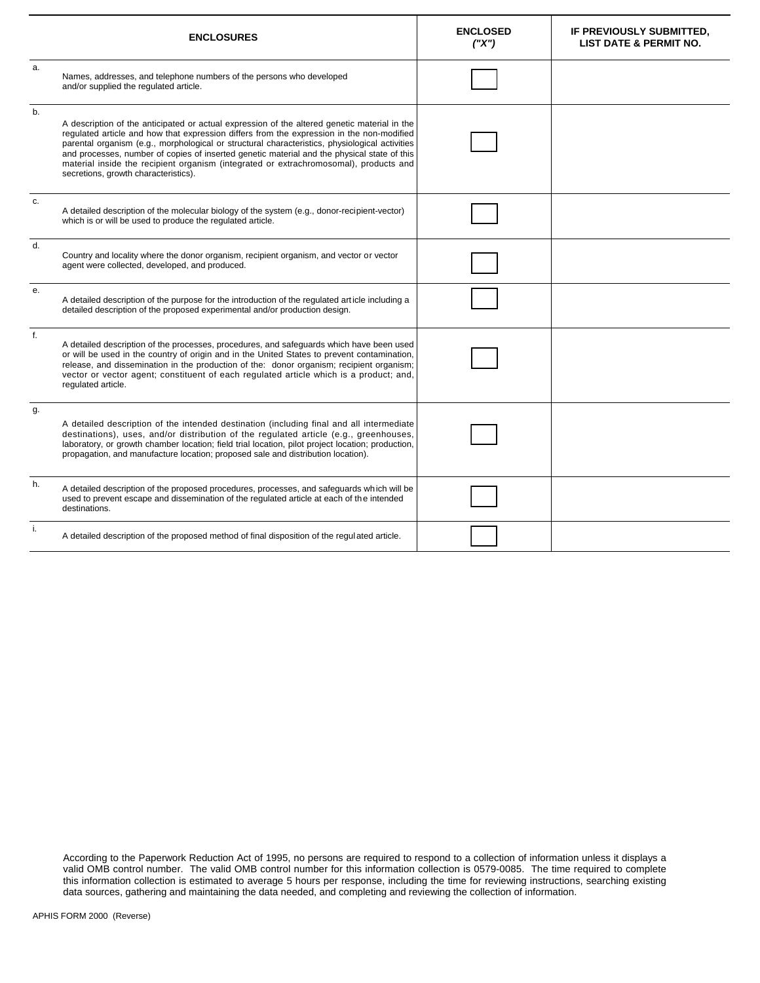| <b>ENCLOSURES</b> |                                                                                                                                                                                                                                                                                                                                                                                                                                                                                                                             | <b>ENCLOSED</b><br>(''X") | IF PREVIOUSLY SUBMITTED,<br><b>LIST DATE &amp; PERMIT NO.</b> |
|-------------------|-----------------------------------------------------------------------------------------------------------------------------------------------------------------------------------------------------------------------------------------------------------------------------------------------------------------------------------------------------------------------------------------------------------------------------------------------------------------------------------------------------------------------------|---------------------------|---------------------------------------------------------------|
| a.                | Names, addresses, and telephone numbers of the persons who developed<br>and/or supplied the regulated article.                                                                                                                                                                                                                                                                                                                                                                                                              |                           |                                                               |
| b.                | A description of the anticipated or actual expression of the altered genetic material in the<br>regulated article and how that expression differs from the expression in the non-modified<br>parental organism (e.g., morphological or structural characteristics, physiological activities<br>and processes, number of copies of inserted genetic material and the physical state of this<br>material inside the recipient organism (integrated or extrachromosomal), products and<br>secretions, growth characteristics). |                           |                                                               |
| c.                | A detailed description of the molecular biology of the system (e.g., donor-recipient-vector)<br>which is or will be used to produce the regulated article.                                                                                                                                                                                                                                                                                                                                                                  |                           |                                                               |
| d.                | Country and locality where the donor organism, recipient organism, and vector or vector<br>agent were collected, developed, and produced.                                                                                                                                                                                                                                                                                                                                                                                   |                           |                                                               |
| е.                | A detailed description of the purpose for the introduction of the regulated article including a<br>detailed description of the proposed experimental and/or production design.                                                                                                                                                                                                                                                                                                                                              |                           |                                                               |
| f.                | A detailed description of the processes, procedures, and safeguards which have been used<br>or will be used in the country of origin and in the United States to prevent contamination,<br>release, and dissemination in the production of the: donor organism; recipient organism;<br>vector or vector agent; constituent of each regulated article which is a product; and,<br>regulated article.                                                                                                                         |                           |                                                               |
| g.                | A detailed description of the intended destination (including final and all intermediate<br>destinations), uses, and/or distribution of the regulated article (e.g., greenhouses,<br>laboratory, or growth chamber location; field trial location, pilot project location; production,<br>propagation, and manufacture location; proposed sale and distribution location).                                                                                                                                                  |                           |                                                               |
| h.                | A detailed description of the proposed procedures, processes, and safeguards which will be<br>used to prevent escape and dissemination of the regulated article at each of the intended<br>destinations.                                                                                                                                                                                                                                                                                                                    |                           |                                                               |
| i.                | A detailed description of the proposed method of final disposition of the regulated article.                                                                                                                                                                                                                                                                                                                                                                                                                                |                           |                                                               |

According to the Paperwork Reduction Act of 1995, no persons are required to respond to a collection of information unless it displays a valid OMB control number. The valid OMB control number for this information collection is 0579-0085. The time required to complete this information collection is estimated to average 5 hours per response, including the time for reviewing instructions, searching existing data sources, gathering and maintaining the data needed, and completing and reviewing the collection of information.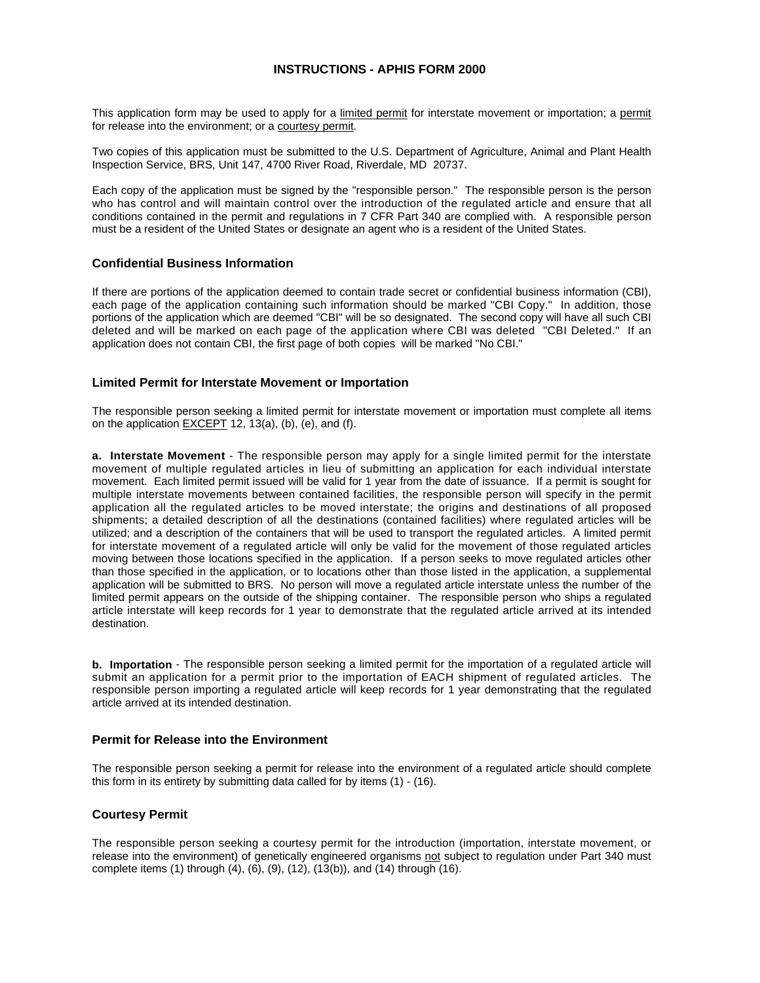# **INSTRUCTIONS - APHIS FORM 2000**

This application form may be used to apply for a limited permit for interstate movement or importation; a permit for release into the environment; or a courtesy permit.

Two copies of this application must be submitted to the U.S. Department of Agriculture, Animal and Plant Health Inspection Service, BRS, Unit 147, 4700 River Road, Riverdale, MD 20737.

Each copy of the application must be signed by the "responsible person." The responsible person is the person who has control and will maintain control over the introduction of the regulated article and ensure that all conditions contained in the permit and regulations in 7 CFR Part 340 are complied with. A responsible person must be a resident of the United States or designate an agent who is a resident of the United States.

#### **Confidential Business Information**

If there are portions of the application deemed to contain trade secret or confidential business information (CBI), each page of the application containing such information should be marked "CBI Copy." In addition, those portions of the application which are deemed "CBI" will be so designated. The second copy will have all such CBI deleted and will be marked on each page of the application where CBI was deleted "CBI Deleted." If an application does not contain CBI, the first page of both copies will be marked "No CBI."

## **Limited Permit for Interstate Movement or Importation**

The responsible person seeking a limited permit for interstate movement or importation must complete all items on the application  $EXCEPT$  12, 13(a), (b), (e), and (f).

**a. Interstate Movement** - The responsible person may apply for a single limited permit for the interstate movement of multiple regulated articles in lieu of submitting an application for each individual interstate movement. Each limited permit issued will be valid for 1 year from the date of issuance. If a permit is sought for multiple interstate movements between contained facilities, the responsible person will specify in the permit application all the regulated articles to be moved interstate; the origins and destinations of all proposed shipments; a detailed description of all the destinations (contained facilities) where regulated articles will be utilized; and a description of the containers that will be used to transport the regulated articles. A limited permit for interstate movement of a regulated article will only be valid for the movement of those regulated articles moving between those locations specified in the application. If a person seeks to move regulated articles other than those specified in the application, or to locations other than those listed in the application, a supplemental application will be submitted to BRS. No person will move a regulated article interstate unless the number of the limited permit appears on the outside of the shipping container. The responsible person who ships a regulated article interstate will keep records for 1 year to demonstrate that the regulated article arrived at its intended destination.

**b. Importation** - The responsible person seeking a limited permit for the importation of a regulated article will submit an application for a permit prior to the importation of EACH shipment of regulated articles. The responsible person importing a regulated article will keep records for 1 year demonstrating that the regulated article arrived at its intended destination.

# **Permit for Release into the Environment**

The responsible person seeking a permit for release into the environment of a regulated article should complete this form in its entirety by submitting data called for by items (1) - (16).

### **Courtesy Permit**

The responsible person seeking a courtesy permit for the introduction (importation, interstate movement, or release into the environment) of genetically engineered organisms not subject to regulation under Part 340 must complete items (1) through (4), (6), (9), (12), (13(b)), and (14) through (16).